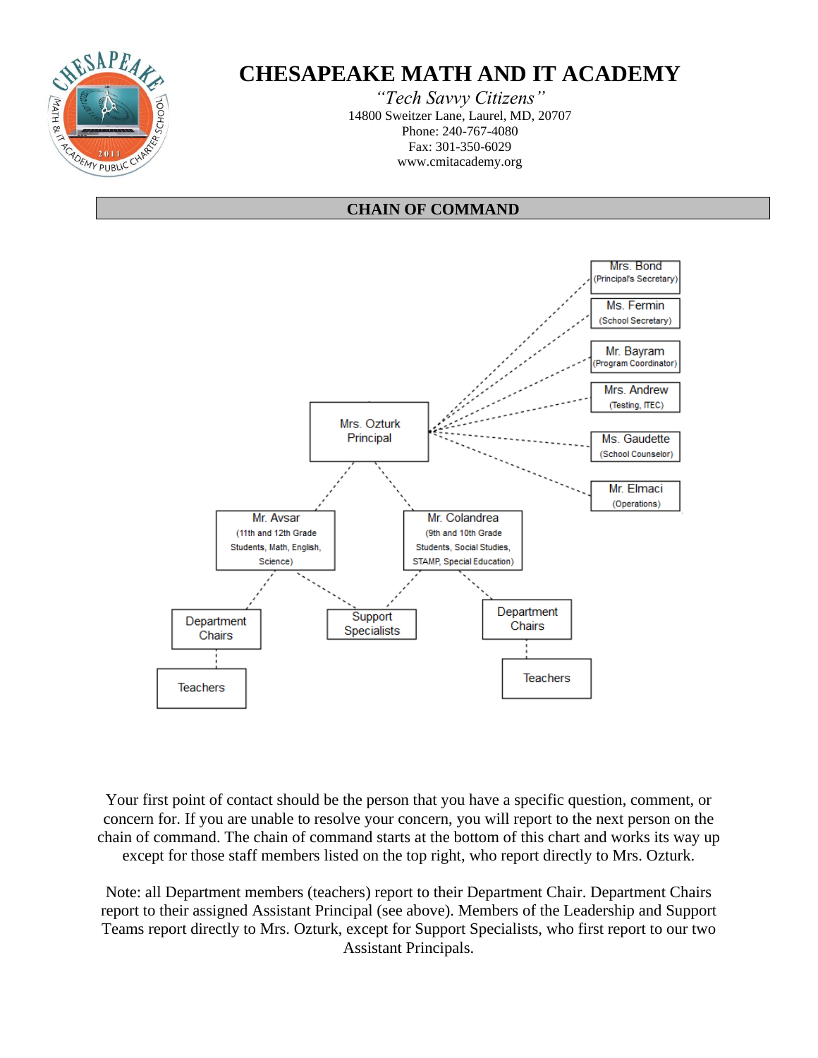

## **CHESAPEAKE MATH AND IT ACADEMY**

*"Tech Savvy Citizens"* 14800 Sweitzer Lane, Laurel, MD, 20707 Phone: 240-767-4080 Fax: 301-350-6029 www.cmitacademy.org

#### **CHAIN OF COMMAND**



Your first point of contact should be the person that you have a specific question, comment, or concern for. If you are unable to resolve your concern, you will report to the next person on the chain of command. The chain of command starts at the bottom of this chart and works its way up except for those staff members listed on the top right, who report directly to Mrs. Ozturk.

Note: all Department members (teachers) report to their Department Chair. Department Chairs report to their assigned Assistant Principal (see above). Members of the Leadership and Support Teams report directly to Mrs. Ozturk, except for Support Specialists, who first report to our two Assistant Principals.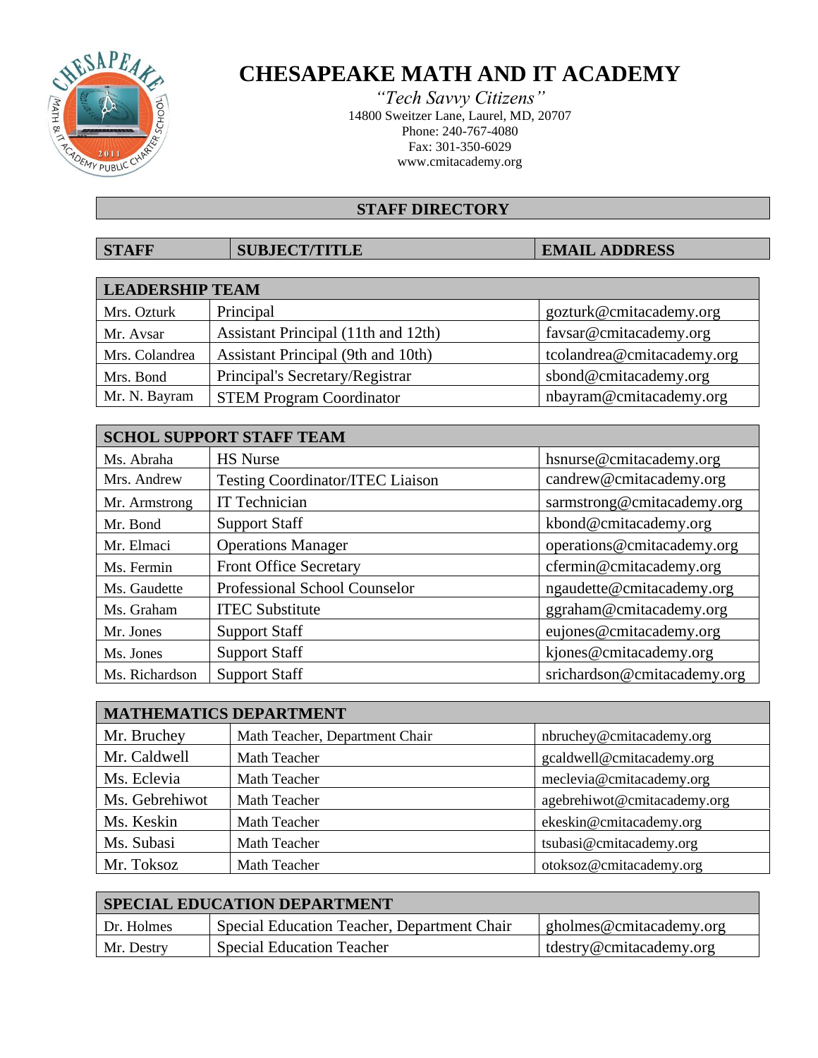

## **CHESAPEAKE MATH AND IT ACADEMY**

*"Tech Savvy Citizens"* 14800 Sweitzer Lane, Laurel, MD, 20707 Phone: 240-767-4080 Fax: 301-350-6029 www.cmitacademy.org

### **STAFF DIRECTORY**

### **STAFF SUBJECT/TITLE EMAIL ADDRESS**

| <b>LEADERSHIP TEAM</b> |                                     |                            |
|------------------------|-------------------------------------|----------------------------|
| Mrs. Ozturk            | Principal                           | gozturk@cmitacademy.org    |
| Mr. Avsar              | Assistant Principal (11th and 12th) | favsar@cmitacademy.org     |
| Mrs. Colandrea         | Assistant Principal (9th and 10th)  | tcolandrea@cmitacademy.org |
| Mrs. Bond              | Principal's Secretary/Registrar     | sbond@cmitacademy.org      |
| Mr. N. Bayram          | <b>STEM Program Coordinator</b>     | nbayram@cmitacademy.org    |

| <b>SCHOL SUPPORT STAFF TEAM</b> |                                         |                             |
|---------------------------------|-----------------------------------------|-----------------------------|
| Ms. Abraha                      | <b>HS</b> Nurse                         | hsnurse@cmitacademy.org     |
| Mrs. Andrew                     | <b>Testing Coordinator/ITEC Liaison</b> | candrew@cmitacademy.org     |
| Mr. Armstrong                   | IT Technician                           | sarmstrong@cmitacademy.org  |
| Mr. Bond                        | <b>Support Staff</b>                    | kbond@cmitacademy.org       |
| Mr. Elmaci                      | <b>Operations Manager</b>               | operations@cmitacademy.org  |
| Ms. Fermin                      | <b>Front Office Secretary</b>           | cfermin@cmitacademy.org     |
| Ms. Gaudette                    | Professional School Counselor           | ngaudette@cmitacademy.org   |
| Ms. Graham                      | <b>ITEC Substitute</b>                  | ggraham@cmitacademy.org     |
| Mr. Jones                       | <b>Support Staff</b>                    | eujones@cmitacademy.org     |
| Ms. Jones                       | <b>Support Staff</b>                    | kjones@cmitacademy.org      |
| Ms. Richardson                  | <b>Support Staff</b>                    | srichardson@cmitacademy.org |

| <b>MATHEMATICS DEPARTMENT</b> |                                |                             |
|-------------------------------|--------------------------------|-----------------------------|
| Mr. Bruchey                   | Math Teacher, Department Chair | nbruchey@cmitacademy.org    |
| Mr. Caldwell                  | Math Teacher                   | gcaldwell@cmitacademy.org   |
| Ms. Eclevia                   | Math Teacher                   | meclevia@cmitacademy.org    |
| Ms. Gebrehiwot                | Math Teacher                   | agebrehiwot@cmitacademy.org |
| Ms. Keskin                    | Math Teacher                   | ekeskin@cmitacademy.org     |
| Ms. Subasi                    | Math Teacher                   | tsubasi@cmitacademy.org     |
| Mr. Toksoz                    | Math Teacher                   | otoksoz@cmitacademy.org     |

| <b>SPECIAL EDUCATION DEPARTMENT</b> |                                             |                               |
|-------------------------------------|---------------------------------------------|-------------------------------|
| Dr. Holmes                          | Special Education Teacher, Department Chair | $\mu$ gholmes@cmitacademy.org |
| Mr. Destrv                          | <b>Special Education Teacher</b>            | tdestry@cmitacademy.org       |